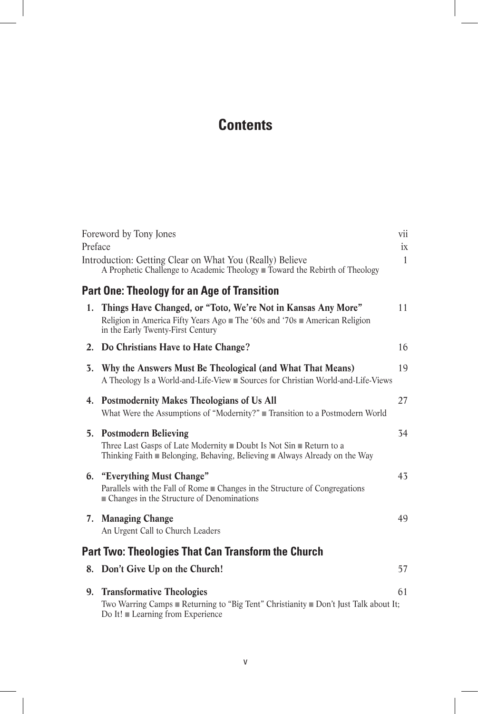# **Contents**

|         | Foreword by Tony Jones                                                                                                                                                              | vii                |
|---------|-------------------------------------------------------------------------------------------------------------------------------------------------------------------------------------|--------------------|
| Preface | Introduction: Getting Clear on What You (Really) Believe<br>A Prophetic Challenge to Academic Theology ■ Toward the Rebirth of Theology                                             | ix<br>$\mathbf{1}$ |
|         | <b>Part One: Theology for an Age of Transition</b>                                                                                                                                  |                    |
|         | 1. Things Have Changed, or "Toto, We're Not in Kansas Any More"<br>Religion in America Fifty Years Ago ■ The '60s and '70s ■ American Religion<br>in the Early Twenty-First Century | 11                 |
|         | 2. Do Christians Have to Hate Change?                                                                                                                                               | 16                 |
|         | 3. Why the Answers Must Be Theological (and What That Means)<br>A Theology Is a World-and-Life-View ■ Sources for Christian World-and-Life-Views                                    | 19                 |
|         | 4. Postmodernity Makes Theologians of Us All<br>What Were the Assumptions of "Modernity?" ■ Transition to a Postmodern World                                                        | 27                 |
|         | 5. Postmodern Believing<br>Three Last Gasps of Late Modernity Doubt Is Not $\sin$ Return to a<br>Thinking Faith Belonging, Behaving, Believing Always Already on the Way            | 34                 |
|         | 6. "Everything Must Change"<br>Parallels with the Fall of Rome ■ Changes in the Structure of Congregations<br>■ Changes in the Structure of Denominations                           | 43                 |
| 7.      | <b>Managing Change</b><br>An Urgent Call to Church Leaders                                                                                                                          | 49                 |
|         | <b>Part Two: Theologies That Can Transform the Church</b>                                                                                                                           |                    |
| 8.      | Don't Give Up on the Church!                                                                                                                                                        | 57                 |
|         | 9. Transformative Theologies<br>Two Warring Camps Returning to "Big Tent" Christianity Don't Just Talk about It;<br>Do It! Learning from Experience                                 | 61                 |